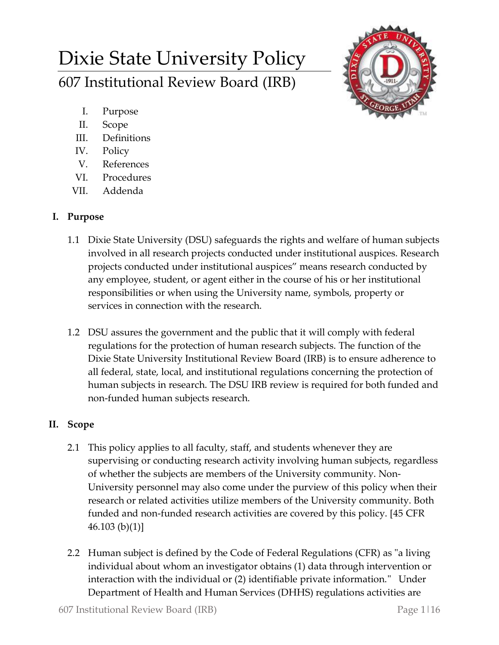# Dixie State University Policy 607 Institutional Review Board (IRB)



- I. Purpose
- II. Scope
- III. Definitions
- IV. Policy
- V. References
- VI. Procedures
- VII. Addenda

# **I. Purpose**

- 1.1 Dixie State University (DSU) safeguards the rights and welfare of human subjects involved in all research projects conducted under institutional auspices. Research projects conducted under institutional auspices" means research conducted by any employee, student, or agent either in the course of his or her institutional responsibilities or when using the University name, symbols, property or services in connection with the research.
- 1.2 DSU assures the government and the public that it will comply with federal regulations for the protection of human research subjects. The function of the Dixie State University Institutional Review Board (IRB) is to ensure adherence to all federal, state, local, and institutional regulations concerning the protection of human subjects in research. The DSU IRB review is required for both funded and non-funded human subjects research.

# **II. Scope**

- 2.1 This policy applies to all faculty, staff, and students whenever they are supervising or conducting research activity involving human subjects, regardless of whether the subjects are members of the University community. Non-University personnel may also come under the purview of this policy when their research or related activities utilize members of the University community. Both funded and non-funded research activities are covered by this policy. [45 CFR  $46.103 (b)(1)$
- 2.2 Human subject is defined by the Code of Federal Regulations (CFR) as "a living individual about whom an investigator obtains (1) data through intervention or interaction with the individual or (2) identifiable private information." Under Department of Health and Human Services (DHHS) regulations activities are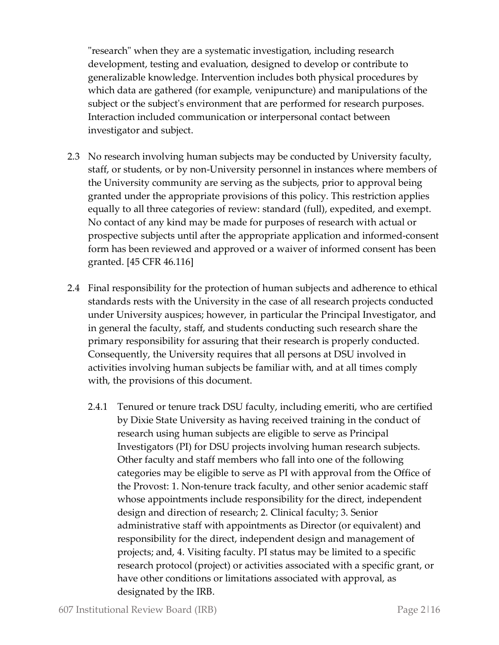"research" when they are a systematic investigation, including research development, testing and evaluation, designed to develop or contribute to generalizable knowledge. Intervention includes both physical procedures by which data are gathered (for example, venipuncture) and manipulations of the subject or the subject's environment that are performed for research purposes. Interaction included communication or interpersonal contact between investigator and subject.

- 2.3 No research involving human subjects may be conducted by University faculty, staff, or students, or by non-University personnel in instances where members of the University community are serving as the subjects, prior to approval being granted under the appropriate provisions of this policy. This restriction applies equally to all three categories of review: standard (full), expedited, and exempt. No contact of any kind may be made for purposes of research with actual or prospective subjects until after the appropriate application and informed-consent form has been reviewed and approved or a waiver of informed consent has been granted. [45 CFR 46.116]
- 2.4 Final responsibility for the protection of human subjects and adherence to ethical standards rests with the University in the case of all research projects conducted under University auspices; however, in particular the Principal Investigator, and in general the faculty, staff, and students conducting such research share the primary responsibility for assuring that their research is properly conducted. Consequently, the University requires that all persons at DSU involved in activities involving human subjects be familiar with, and at all times comply with, the provisions of this document.
	- 2.4.1 Tenured or tenure track DSU faculty, including emeriti, who are certified by Dixie State University as having received training in the conduct of research using human subjects are eligible to serve as Principal Investigators (PI) for DSU projects involving human research subjects. Other faculty and staff members who fall into one of the following categories may be eligible to serve as PI with approval from the Office of the Provost: 1. Non-tenure track faculty, and other senior academic staff whose appointments include responsibility for the direct, independent design and direction of research; 2. Clinical faculty; 3. Senior administrative staff with appointments as Director (or equivalent) and responsibility for the direct, independent design and management of projects; and, 4. Visiting faculty. PI status may be limited to a specific research protocol (project) or activities associated with a specific grant, or have other conditions or limitations associated with approval, as designated by the IRB.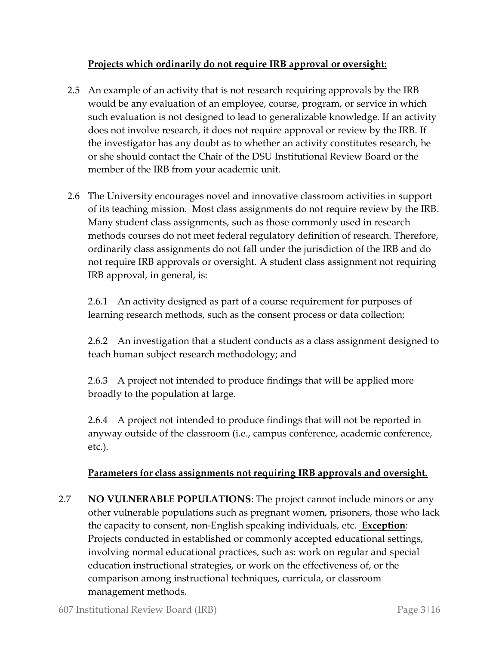### **Projects which ordinarily do not require IRB approval or oversight:**

- 2.5 An example of an activity that is not research requiring approvals by the IRB would be any evaluation of an employee, course, program, or service in which such evaluation is not designed to lead to generalizable knowledge. If an activity does not involve research, it does not require approval or review by the IRB. If the investigator has any doubt as to whether an activity constitutes research, he or she should contact the Chair of the DSU Institutional Review Board or the member of the IRB from your academic unit.
- 2.6 The University encourages novel and innovative classroom activities in support of its teaching mission. Most class assignments do not require review by the IRB. Many student class assignments, such as those commonly used in research methods courses do not meet federal regulatory definition of research. Therefore, ordinarily class assignments do not fall under the jurisdiction of the IRB and do not require IRB approvals or oversight. A student class assignment not requiring IRB approval, in general, is:

2.6.1 An activity designed as part of a course requirement for purposes of learning research methods, such as the consent process or data collection;

2.6.2 An investigation that a student conducts as a class assignment designed to teach human subject research methodology; and

2.6.3 A project not intended to produce findings that will be applied more broadly to the population at large.

2.6.4 A project not intended to produce findings that will not be reported in anyway outside of the classroom (i.e., campus conference, academic conference, etc.).

## **Parameters for class assignments not requiring IRB approvals and oversight.**

2.7 **NO VULNERABLE POPULATIONS**: The project cannot include minors or any other vulnerable populations such as pregnant women, prisoners, those who lack the capacity to consent, non-English speaking individuals, etc. **Exception**: Projects conducted in established or commonly accepted educational settings, involving normal educational practices, such as: work on regular and special education instructional strategies, or work on the effectiveness of, or the comparison among instructional techniques, curricula, or classroom management methods.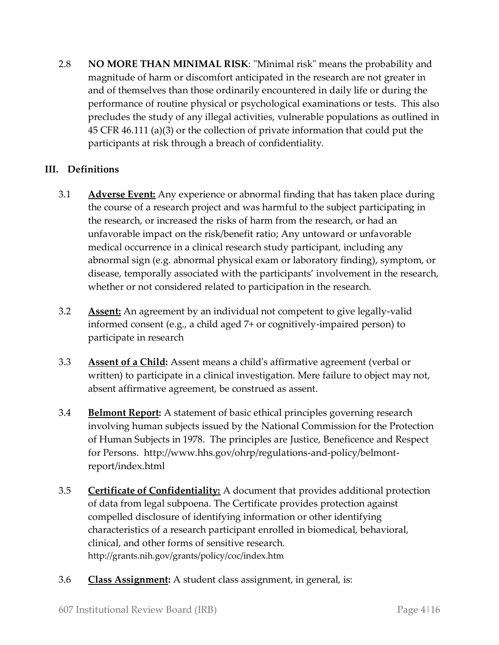2.8 **NO MORE THAN MINIMAL RISK**: "Minimal risk" means the probability and magnitude of harm or discomfort anticipated in the research are not greater in and of themselves than those ordinarily encountered in daily life or during the performance of routine physical or psychological examinations or tests. This also precludes the study of any illegal activities, vulnerable populations as outlined in 45 CFR 46.111 (a)(3) or the collection of private information that could put the participants at risk through a breach of confidentiality.

## **III. Definitions**

- 3.1 **Adverse Event:** Any experience or abnormal finding that has taken place during the course of a research project and was harmful to the subject participating in the research, or increased the risks of harm from the research, or had an unfavorable impact on the risk/benefit ratio; Any untoward or unfavorable medical occurrence in a clinical research study participant, including any abnormal sign (e.g. abnormal physical exam or laboratory finding), symptom, or disease, temporally associated with the participants' involvement in the research, whether or not considered related to participation in the research.
- 3.2 **Assent:** An agreement by an individual not competent to give legally-valid informed consent (e.g., a child aged 7+ or cognitively-impaired person) to participate in research
- 3.3 **Assent of a Child:** Assent means a child's affirmative agreement (verbal or written) to participate in a clinical investigation. Mere failure to object may not, absent affirmative agreement, be construed as assent.
- 3.4 **Belmont Report:** A statement of basic ethical principles governing research involving human subjects issued by the National Commission for the Protection of Human Subjects in 1978. The principles are Justice, Beneficence and Respect for Persons. http://www.hhs.gov/ohrp/regulations-and-policy/belmontreport/index.html
- 3.5 **Certificate of Confidentiality:** A document that provides additional protection of data from legal subpoena. The Certificate provides protection against compelled disclosure of identifying information or other identifying characteristics of a research participant enrolled in biomedical, behavioral, clinical, and other forms of sensitive research. http://grants.nih.gov/grants/policy/coc/index.htm
- 3.6 **Class Assignment:** A student class assignment, in general, is: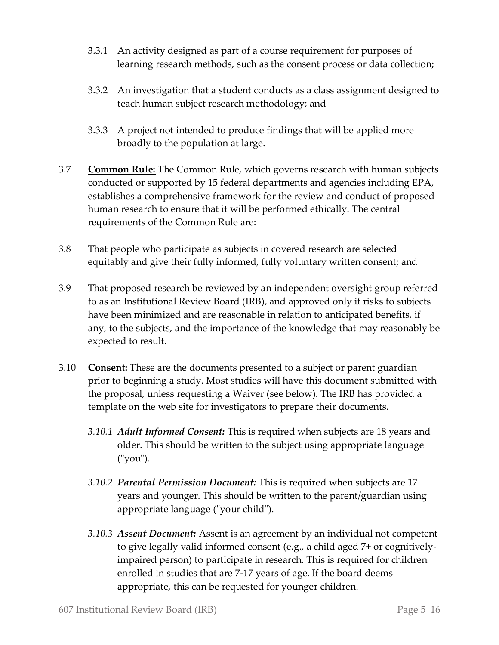- 3.3.1 An activity designed as part of a course requirement for purposes of learning research methods, such as the consent process or data collection;
- 3.3.2 An investigation that a student conducts as a class assignment designed to teach human subject research methodology; and
- 3.3.3 A project not intended to produce findings that will be applied more broadly to the population at large.
- 3.7 **Common Rule:** The Common Rule, which governs research with human subjects conducted or supported by 15 federal departments and agencies including EPA, establishes a comprehensive framework for the review and conduct of proposed human research to ensure that it will be performed ethically. The central requirements of the Common Rule are:
- 3.8 That people who participate as subjects in covered research are selected equitably and give their fully informed, fully voluntary written consent; and
- 3.9 That proposed research be reviewed by an independent oversight group referred to as an Institutional Review Board (IRB), and approved only if risks to subjects have been minimized and are reasonable in relation to anticipated benefits, if any, to the subjects, and the importance of the knowledge that may reasonably be expected to result.
- 3.10 **Consent:** These are the documents presented to a subject or parent guardian prior to beginning a study. Most studies will have this document submitted with the proposal, unless requesting a Waiver (see below). The IRB has provided a template on the web site for investigators to prepare their documents.
	- *3.10.1 Adult Informed Consent:* This is required when subjects are 18 years and older. This should be written to the subject using appropriate language ("you").
	- *3.10.2 Parental Permission Document:* This is required when subjects are 17 years and younger. This should be written to the parent/guardian using appropriate language ("your child").
	- *3.10.3 Assent Document:* Assent is an agreement by an individual not competent to give legally valid informed consent (e.g., a child aged 7+ or cognitivelyimpaired person) to participate in research. This is required for children enrolled in studies that are 7-17 years of age. If the board deems appropriate, this can be requested for younger children.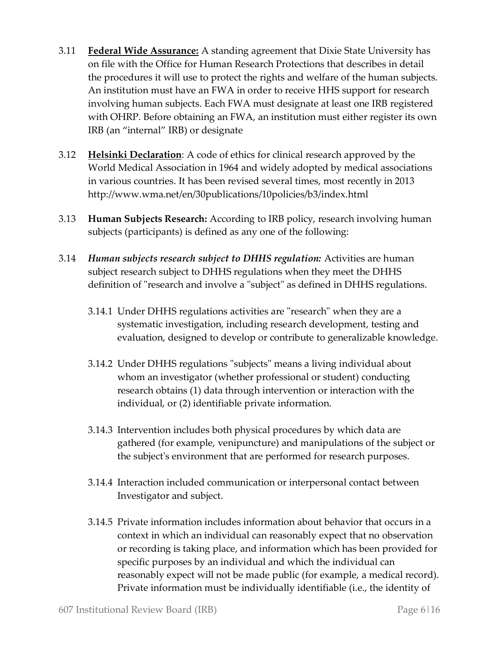- 3.11 **Federal Wide Assurance:** A standing agreement that Dixie State University has on file with the Office for Human Research Protections that describes in detail the procedures it will use to protect the rights and welfare of the human subjects. An institution must have an FWA in order to receive HHS support for research involving human subjects. Each FWA must designate at least one IRB registered with OHRP. Before obtaining an FWA, an institution must either register its own IRB (an "internal" IRB) or designate
- 3.12 **Helsinki Declaration**: A code of ethics for clinical research approved by the World Medical Association in 1964 and widely adopted by medical associations in various countries. It has been revised several times, most recently in 2013 http://www.wma.net/en/30publications/10policies/b3/index.html
- 3.13 **Human Subjects Research:** According to IRB policy, research involving human subjects (participants) is defined as any one of the following:
- 3.14 *Human subjects research subject to DHHS regulation:* Activities are human subject research subject to DHHS regulations when they meet the DHHS definition of "research and involve a "subject" as defined in DHHS regulations.
	- 3.14.1 Under DHHS regulations activities are "research" when they are a systematic investigation, including research development, testing and evaluation, designed to develop or contribute to generalizable knowledge.
	- 3.14.2 Under DHHS regulations "subjects" means a living individual about whom an investigator (whether professional or student) conducting research obtains (1) data through intervention or interaction with the individual, or (2) identifiable private information.
	- 3.14.3 Intervention includes both physical procedures by which data are gathered (for example, venipuncture) and manipulations of the subject or the subject's environment that are performed for research purposes.
	- 3.14.4 Interaction included communication or interpersonal contact between Investigator and subject.
	- 3.14.5 Private information includes information about behavior that occurs in a context in which an individual can reasonably expect that no observation or recording is taking place, and information which has been provided for specific purposes by an individual and which the individual can reasonably expect will not be made public (for example, a medical record). Private information must be individually identifiable (i.e., the identity of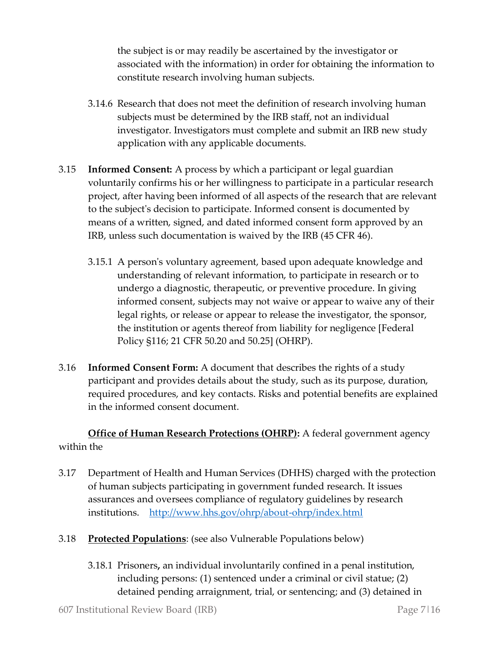the subject is or may readily be ascertained by the investigator or associated with the information) in order for obtaining the information to constitute research involving human subjects.

- 3.14.6 Research that does not meet the definition of research involving human subjects must be determined by the IRB staff, not an individual investigator. Investigators must complete and submit an IRB new study application with any applicable documents.
- 3.15 **Informed Consent:** A process by which a participant or legal guardian voluntarily confirms his or her willingness to participate in a particular research project, after having been informed of all aspects of the research that are relevant to the subject's decision to participate. Informed consent is documented by means of a written, signed, and dated informed consent form approved by an IRB, unless such documentation is waived by the IRB (45 CFR 46).
	- 3.15.1 A person's voluntary agreement, based upon adequate knowledge and understanding of relevant information, to participate in research or to undergo a diagnostic, therapeutic, or preventive procedure. In giving informed consent, subjects may not waive or appear to waive any of their legal rights, or release or appear to release the investigator, the sponsor, the institution or agents thereof from liability for negligence [Federal Policy §116; 21 CFR 50.20 and 50.25] (OHRP).
- 3.16 **Informed Consent Form:** A document that describes the rights of a study participant and provides details about the study, such as its purpose, duration, required procedures, and key contacts. Risks and potential benefits are explained in the informed consent document.

**Office of Human Research Protections (OHRP):** A federal government agency within the

- 3.17 Department of Health and Human Services (DHHS) charged with the protection of human subjects participating in government funded research. It issues assurances and oversees compliance of regulatory guidelines by research institutions. <http://www.hhs.gov/ohrp/about-ohrp/index.html>
- 3.18 **Protected Populations**: (see also Vulnerable Populations below)
	- 3.18.1 Prisoners**,** an individual involuntarily confined in a penal institution, including persons: (1) sentenced under a criminal or civil statue; (2) detained pending arraignment, trial, or sentencing; and (3) detained in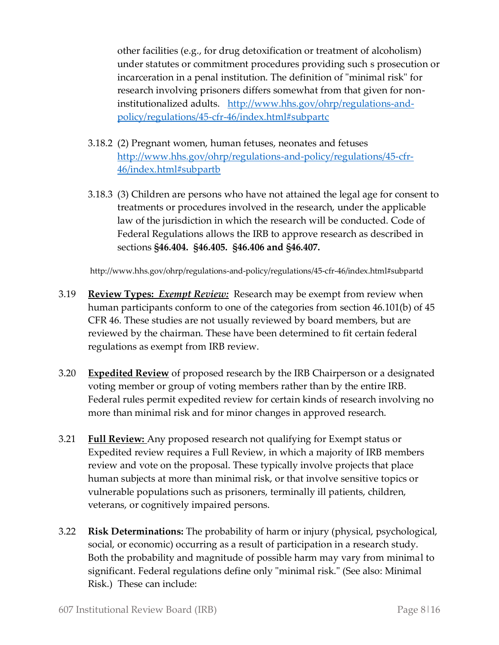other facilities (e.g., for drug detoxification or treatment of alcoholism) under statutes or commitment procedures providing such s prosecution or incarceration in a penal institution. The definition of "minimal risk" for research involving prisoners differs somewhat from that given for noninstitutionalized adults. [http://www.hhs.gov/ohrp/regulations-and](http://www.hhs.gov/ohrp/regulations-and-policy/regulations/45-cfr-46/index.html#subpartc)[policy/regulations/45-cfr-46/index.html#subpartc](http://www.hhs.gov/ohrp/regulations-and-policy/regulations/45-cfr-46/index.html#subpartc)

- 3.18.2 (2) Pregnant women, human fetuses, neonates and fetuses [http://www.hhs.gov/ohrp/regulations-and-policy/regulations/45-cfr-](http://www.hhs.gov/ohrp/regulations-and-policy/regulations/45-cfr-46/index.html#subpartb)[46/index.html#subpartb](http://www.hhs.gov/ohrp/regulations-and-policy/regulations/45-cfr-46/index.html#subpartb)
- 3.18.3 (3) Children are persons who have not attained the legal age for consent to treatments or procedures involved in the research, under the applicable law of the jurisdiction in which the research will be conducted. Code of Federal Regulations allows the IRB to approve research as described in sections **§46.404. §46.405. §46.406 and §46.407.**

http://www.hhs.gov/ohrp/regulations-and-policy/regulations/45-cfr-46/index.html#subpartd

- 3.19 **Review Types:** *Exempt Review:* Research may be exempt from review when human participants conform to one of the categories from section 46.101(b) of 45 CFR 46. These studies are not usually reviewed by board members, but are reviewed by the chairman. These have been determined to fit certain federal regulations as exempt from IRB review.
- 3.20 **Expedited Review** of proposed research by the IRB Chairperson or a designated voting member or group of voting members rather than by the entire IRB. Federal rules permit expedited review for certain kinds of research involving no more than minimal risk and for minor changes in approved research.
- 3.21 **Full Review:** Any proposed research not qualifying for Exempt status or Expedited review requires a Full Review, in which a majority of IRB members review and vote on the proposal. These typically involve projects that place human subjects at more than minimal risk, or that involve sensitive topics or vulnerable populations such as prisoners, terminally ill patients, children, veterans, or cognitively impaired persons.
- 3.22 **Risk Determinations:** The probability of harm or injury (physical, psychological, social, or economic) occurring as a result of participation in a research study. Both the probability and magnitude of possible harm may vary from minimal to significant. Federal regulations define only "minimal risk." (See also: Minimal Risk.) These can include: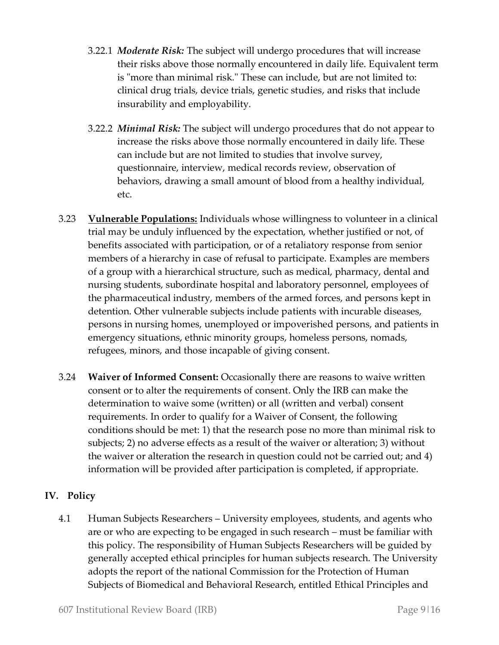- 3.22.1 *Moderate Risk:* The subject will undergo procedures that will increase their risks above those normally encountered in daily life. Equivalent term is "more than minimal risk." These can include, but are not limited to: clinical drug trials, device trials, genetic studies, and risks that include insurability and employability.
- 3.22.2 *Minimal Risk:* The subject will undergo procedures that do not appear to increase the risks above those normally encountered in daily life. These can include but are not limited to studies that involve survey, questionnaire, interview, medical records review, observation of behaviors, drawing a small amount of blood from a healthy individual, etc.
- 3.23 **Vulnerable Populations:** Individuals whose willingness to volunteer in a clinical trial may be unduly influenced by the expectation, whether justified or not, of benefits associated with participation, or of a retaliatory response from senior members of a hierarchy in case of refusal to participate. Examples are members of a group with a hierarchical structure, such as medical, pharmacy, dental and nursing students, subordinate hospital and laboratory personnel, employees of the pharmaceutical industry, members of the armed forces, and persons kept in detention. Other vulnerable subjects include patients with incurable diseases, persons in nursing homes, unemployed or impoverished persons, and patients in emergency situations, ethnic minority groups, homeless persons, nomads, refugees, minors, and those incapable of giving consent.
- 3.24 **Waiver of Informed Consent:** Occasionally there are reasons to waive written consent or to alter the requirements of consent. Only the IRB can make the determination to waive some (written) or all (written and verbal) consent requirements. In order to qualify for a Waiver of Consent, the following conditions should be met: 1) that the research pose no more than minimal risk to subjects; 2) no adverse effects as a result of the waiver or alteration; 3) without the waiver or alteration the research in question could not be carried out; and 4) information will be provided after participation is completed, if appropriate.

#### **IV. Policy**

4.1 Human Subjects Researchers – University employees, students, and agents who are or who are expecting to be engaged in such research – must be familiar with this policy. The responsibility of Human Subjects Researchers will be guided by generally accepted ethical principles for human subjects research. The University adopts the report of the national Commission for the Protection of Human Subjects of Biomedical and Behavioral Research, entitled Ethical Principles and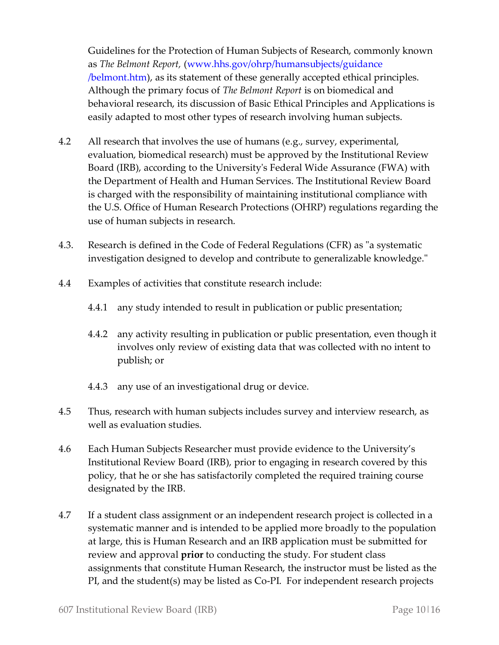Guidelines for the Protection of Human Subjects of Research, commonly known as *The Belmont Report,* (www.hhs.gov/ohrp/humansubjects/guidance /belmont.htm), as its statement of these generally accepted ethical principles. Although the primary focus of *The Belmont Report* is on biomedical and behavioral research, its discussion of Basic Ethical Principles and Applications is easily adapted to most other types of research involving human subjects.

- 4.2 All research that involves the use of humans (e.g., survey, experimental, evaluation, biomedical research) must be approved by the Institutional Review Board (IRB), according to the University's Federal Wide Assurance (FWA) with the Department of Health and Human Services. The Institutional Review Board is charged with the responsibility of maintaining institutional compliance with the U.S. Office of Human Research Protections (OHRP) regulations regarding the use of human subjects in research.
- 4.3. Research is defined in the Code of Federal Regulations (CFR) as "a systematic investigation designed to develop and contribute to generalizable knowledge."
- 4.4 Examples of activities that constitute research include:
	- 4.4.1 any study intended to result in publication or public presentation;
	- 4.4.2 any activity resulting in publication or public presentation, even though it involves only review of existing data that was collected with no intent to publish; or
	- 4.4.3 any use of an investigational drug or device.
- 4.5 Thus, research with human subjects includes survey and interview research, as well as evaluation studies.
- 4.6 Each Human Subjects Researcher must provide evidence to the University's Institutional Review Board (IRB), prior to engaging in research covered by this policy, that he or she has satisfactorily completed the required training course designated by the IRB.
- 4.7 If a student class assignment or an independent research project is collected in a systematic manner and is intended to be applied more broadly to the population at large, this is Human Research and an IRB application must be submitted for review and approval **prior** to conducting the study. For student class assignments that constitute Human Research, the instructor must be listed as the PI, and the student(s) may be listed as Co-PI. For independent research projects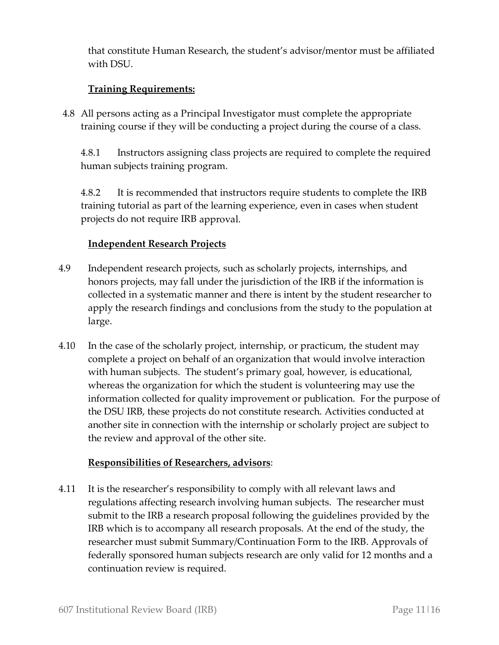that constitute Human Research, the student's advisor/mentor must be affiliated with DSU.

## **Training Requirements:**

4.8 All persons acting as a Principal Investigator must complete the appropriate training course if they will be conducting a project during the course of a class.

4.8.1 Instructors assigning class projects are required to complete the required human subjects training program.

4.8.2 It is recommended that instructors require students to complete the IRB training tutorial as part of the learning experience, even in cases when student projects do not require IRB approval.

#### **Independent Research Projects**

- 4.9 Independent research projects, such as scholarly projects, internships, and honors projects, may fall under the jurisdiction of the IRB if the information is collected in a systematic manner and there is intent by the student researcher to apply the research findings and conclusions from the study to the population at large.
- 4.10 In the case of the scholarly project, internship, or practicum, the student may complete a project on behalf of an organization that would involve interaction with human subjects. The student's primary goal, however, is educational, whereas the organization for which the student is volunteering may use the information collected for quality improvement or publication. For the purpose of the DSU IRB, these projects do not constitute research. Activities conducted at another site in connection with the internship or scholarly project are subject to the review and approval of the other site.

#### **Responsibilities of Researchers, advisors**:

4.11 It is the researcher's responsibility to comply with all relevant laws and regulations affecting research involving human subjects. The researcher must submit to the IRB a research proposal following the guidelines provided by the IRB which is to accompany all research proposals. At the end of the study, the researcher must submit Summary/Continuation Form to the IRB. Approvals of federally sponsored human subjects research are only valid for 12 months and a continuation review is required.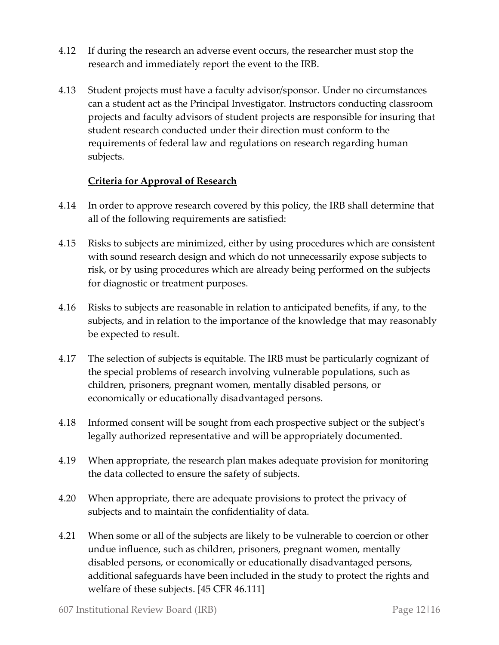- 4.12 If during the research an adverse event occurs, the researcher must stop the research and immediately report the event to the IRB.
- 4.13 Student projects must have a faculty advisor/sponsor. Under no circumstances can a student act as the Principal Investigator. Instructors conducting classroom projects and faculty advisors of student projects are responsible for insuring that student research conducted under their direction must conform to the requirements of federal law and regulations on research regarding human subjects.

#### **Criteria for Approval of Research**

- 4.14 In order to approve research covered by this policy, the IRB shall determine that all of the following requirements are satisfied:
- 4.15 Risks to subjects are minimized, either by using procedures which are consistent with sound research design and which do not unnecessarily expose subjects to risk, or by using procedures which are already being performed on the subjects for diagnostic or treatment purposes.
- 4.16 Risks to subjects are reasonable in relation to anticipated benefits, if any, to the subjects, and in relation to the importance of the knowledge that may reasonably be expected to result.
- 4.17 The selection of subjects is equitable. The IRB must be particularly cognizant of the special problems of research involving vulnerable populations, such as children, prisoners, pregnant women, mentally disabled persons, or economically or educationally disadvantaged persons.
- 4.18 Informed consent will be sought from each prospective subject or the subject's legally authorized representative and will be appropriately documented.
- 4.19 When appropriate, the research plan makes adequate provision for monitoring the data collected to ensure the safety of subjects.
- 4.20 When appropriate, there are adequate provisions to protect the privacy of subjects and to maintain the confidentiality of data.
- 4.21 When some or all of the subjects are likely to be vulnerable to coercion or other undue influence, such as children, prisoners, pregnant women, mentally disabled persons, or economically or educationally disadvantaged persons, additional safeguards have been included in the study to protect the rights and welfare of these subjects. [45 CFR 46.111]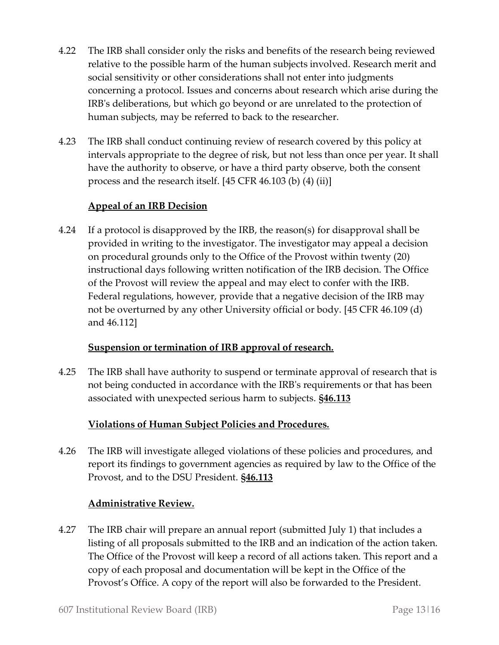- 4.22 The IRB shall consider only the risks and benefits of the research being reviewed relative to the possible harm of the human subjects involved. Research merit and social sensitivity or other considerations shall not enter into judgments concerning a protocol. Issues and concerns about research which arise during the IRB's deliberations, but which go beyond or are unrelated to the protection of human subjects, may be referred to back to the researcher.
- 4.23 The IRB shall conduct continuing review of research covered by this policy at intervals appropriate to the degree of risk, but not less than once per year. It shall have the authority to observe, or have a third party observe, both the consent process and the research itself. [45 CFR 46.103 (b) (4) (ii)]

#### **Appeal of an IRB Decision**

4.24 If a protocol is disapproved by the IRB, the reason(s) for disapproval shall be provided in writing to the investigator. The investigator may appeal a decision on procedural grounds only to the Office of the Provost within twenty (20) instructional days following written notification of the IRB decision. The Office of the Provost will review the appeal and may elect to confer with the IRB. Federal regulations, however, provide that a negative decision of the IRB may not be overturned by any other University official or body. [45 CFR 46.109 (d) and 46.112]

#### **Suspension or termination of IRB approval of research.**

4.25 The IRB shall have authority to suspend or terminate approval of research that is not being conducted in accordance with the IRB's requirements or that has been associated with unexpected serious harm to subjects. **§46.113**

#### **Violations of Human Subject Policies and Procedures.**

4.26 The IRB will investigate alleged violations of these policies and procedures, and report its findings to government agencies as required by law to the Office of the Provost, and to the DSU President. **§46.113**

#### **Administrative Review.**

4.27 The IRB chair will prepare an annual report (submitted July 1) that includes a listing of all proposals submitted to the IRB and an indication of the action taken. The Office of the Provost will keep a record of all actions taken. This report and a copy of each proposal and documentation will be kept in the Office of the Provost's Office. A copy of the report will also be forwarded to the President.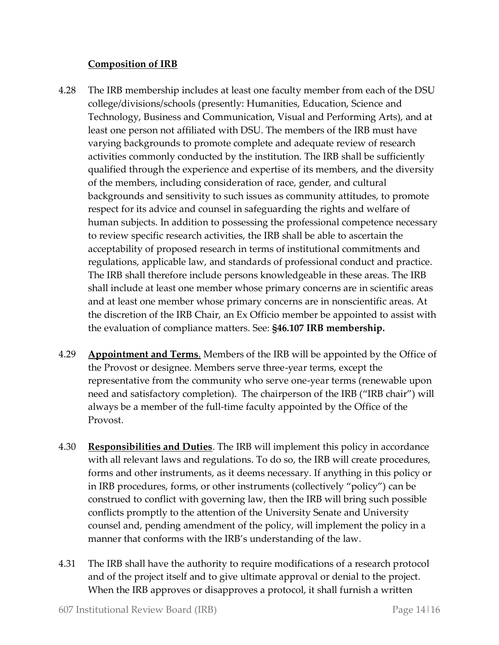#### **Composition of IRB**

- 4.28 The IRB membership includes at least one faculty member from each of the DSU college/divisions/schools (presently: Humanities, Education, Science and Technology, Business and Communication, Visual and Performing Arts), and at least one person not affiliated with DSU. The members of the IRB must have varying backgrounds to promote complete and adequate review of research activities commonly conducted by the institution. The IRB shall be sufficiently qualified through the experience and expertise of its members, and the diversity of the members, including consideration of race, gender, and cultural backgrounds and sensitivity to such issues as community attitudes, to promote respect for its advice and counsel in safeguarding the rights and welfare of human subjects. In addition to possessing the professional competence necessary to review specific research activities, the IRB shall be able to ascertain the acceptability of proposed research in terms of institutional commitments and regulations, applicable law, and standards of professional conduct and practice. The IRB shall therefore include persons knowledgeable in these areas. The IRB shall include at least one member whose primary concerns are in scientific areas and at least one member whose primary concerns are in nonscientific areas. At the discretion of the IRB Chair, an Ex Officio member be appointed to assist with the evaluation of compliance matters. See: **§46.107 IRB membership.**
- 4.29 **Appointment and Terms**. Members of the IRB will be appointed by the Office of the Provost or designee. Members serve three-year terms, except the representative from the community who serve one-year terms (renewable upon need and satisfactory completion). The chairperson of the IRB ("IRB chair") will always be a member of the full-time faculty appointed by the Office of the Provost.
- 4.30 **Responsibilities and Duties**. The IRB will implement this policy in accordance with all relevant laws and regulations. To do so, the IRB will create procedures, forms and other instruments, as it deems necessary. If anything in this policy or in IRB procedures, forms, or other instruments (collectively "policy") can be construed to conflict with governing law, then the IRB will bring such possible conflicts promptly to the attention of the University Senate and University counsel and, pending amendment of the policy, will implement the policy in a manner that conforms with the IRB's understanding of the law.
- 4.31 The IRB shall have the authority to require modifications of a research protocol and of the project itself and to give ultimate approval or denial to the project. When the IRB approves or disapproves a protocol, it shall furnish a written

607 Institutional Review Board (IRB) Page 14|16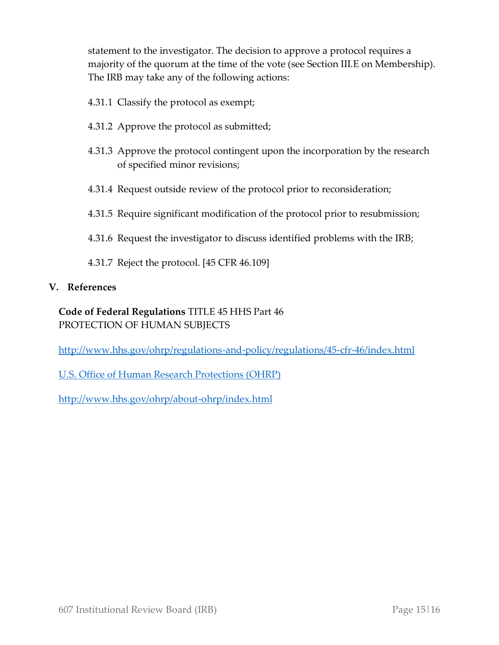statement to the investigator. The decision to approve a protocol requires a majority of the quorum at the time of the vote (see Section III.E on Membership). The IRB may take any of the following actions:

- 4.31.1 Classify the protocol as exempt;
- 4.31.2 Approve the protocol as submitted;
- 4.31.3 Approve the protocol contingent upon the incorporation by the research of specified minor revisions;
- 4.31.4 Request outside review of the protocol prior to reconsideration;
- 4.31.5 Require significant modification of the protocol prior to resubmission;
- 4.31.6 Request the investigator to discuss identified problems with the IRB;
- 4.31.7 Reject the protocol. [45 CFR 46.109]

#### **V. References**

# **Code of Federal Regulations** TITLE 45 HHS Part 46 PROTECTION OF HUMAN SUBJECTS

<http://www.hhs.gov/ohrp/regulations-and-policy/regulations/45-cfr-46/index.html>

[U.S. Office of Human Research Protections \(OHRP\)](http://www.hhs.gov/ohrp/)

<http://www.hhs.gov/ohrp/about-ohrp/index.html>